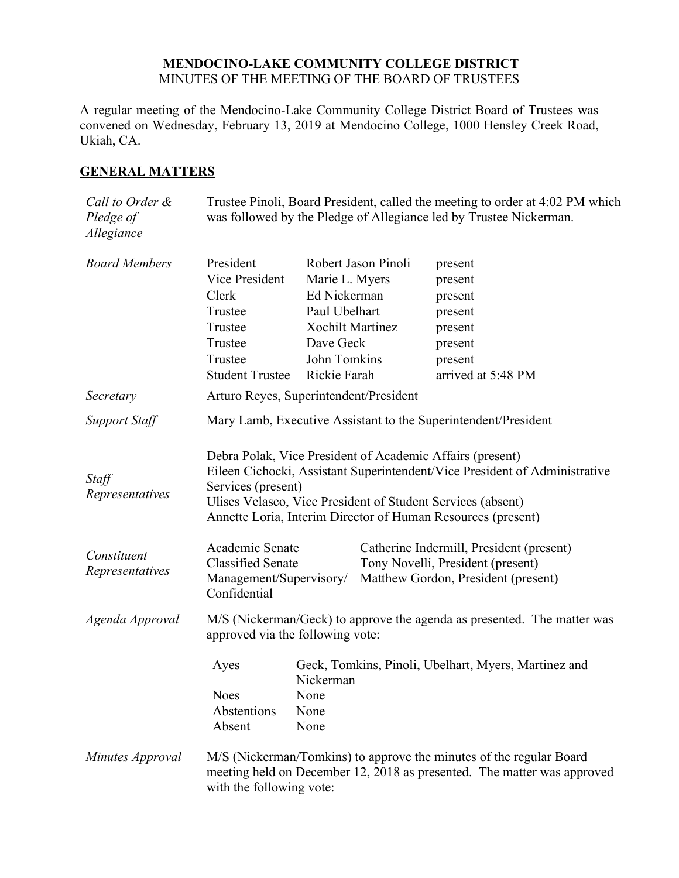### **MENDOCINO-LAKE COMMUNITY COLLEGE DISTRICT** MINUTES OF THE MEETING OF THE BOARD OF TRUSTEES

A regular meeting of the Mendocino-Lake Community College District Board of Trustees was convened on Wednesday, February 13, 2019 at Mendocino College, 1000 Hensley Creek Road, Ukiah, CA.

## **GENERAL MATTERS**

| Call to Order &<br>Pledge of<br>Allegiance | Trustee Pinoli, Board President, called the meeting to order at 4:02 PM which<br>was followed by the Pledge of Allegiance led by Trustee Nickerman.                                                                                                                                                                                                                                                                          |                                                                   |                     |                    |
|--------------------------------------------|------------------------------------------------------------------------------------------------------------------------------------------------------------------------------------------------------------------------------------------------------------------------------------------------------------------------------------------------------------------------------------------------------------------------------|-------------------------------------------------------------------|---------------------|--------------------|
| <b>Board Members</b>                       | President                                                                                                                                                                                                                                                                                                                                                                                                                    |                                                                   | Robert Jason Pinoli | present            |
|                                            | Vice President                                                                                                                                                                                                                                                                                                                                                                                                               | Marie L. Myers                                                    |                     | present            |
|                                            | Clerk                                                                                                                                                                                                                                                                                                                                                                                                                        | Ed Nickerman                                                      |                     | present            |
|                                            | Trustee                                                                                                                                                                                                                                                                                                                                                                                                                      | Paul Ubelhart                                                     |                     | present            |
|                                            | Trustee                                                                                                                                                                                                                                                                                                                                                                                                                      | <b>Xochilt Martinez</b>                                           |                     | present            |
|                                            | Trustee                                                                                                                                                                                                                                                                                                                                                                                                                      | Dave Geck                                                         |                     | present            |
|                                            | Trustee                                                                                                                                                                                                                                                                                                                                                                                                                      | John Tomkins                                                      |                     | present            |
|                                            | <b>Student Trustee</b>                                                                                                                                                                                                                                                                                                                                                                                                       | Rickie Farah                                                      |                     | arrived at 5:48 PM |
| Secretary                                  | Arturo Reyes, Superintendent/President                                                                                                                                                                                                                                                                                                                                                                                       |                                                                   |                     |                    |
| <b>Support Staff</b>                       | Mary Lamb, Executive Assistant to the Superintendent/President                                                                                                                                                                                                                                                                                                                                                               |                                                                   |                     |                    |
| Staff<br>Representatives<br>Constituent    | Debra Polak, Vice President of Academic Affairs (present)<br>Eileen Cichocki, Assistant Superintendent/Vice President of Administrative<br>Services (present)<br>Ulises Velasco, Vice President of Student Services (absent)<br>Annette Loria, Interim Director of Human Resources (present)<br>Academic Senate<br>Catherine Indermill, President (present)<br><b>Classified Senate</b><br>Tony Novelli, President (present) |                                                                   |                     |                    |
| Representatives                            | Management/Supervisory/<br>Matthew Gordon, President (present)<br>Confidential                                                                                                                                                                                                                                                                                                                                               |                                                                   |                     |                    |
| Agenda Approval                            | M/S (Nickerman/Geck) to approve the agenda as presented. The matter was<br>approved via the following vote:                                                                                                                                                                                                                                                                                                                  |                                                                   |                     |                    |
|                                            | Ayes                                                                                                                                                                                                                                                                                                                                                                                                                         | Geck, Tomkins, Pinoli, Ubelhart, Myers, Martinez and<br>Nickerman |                     |                    |
|                                            | Noes                                                                                                                                                                                                                                                                                                                                                                                                                         | None                                                              |                     |                    |
|                                            | Abstentions                                                                                                                                                                                                                                                                                                                                                                                                                  | None                                                              |                     |                    |
|                                            | Absent                                                                                                                                                                                                                                                                                                                                                                                                                       | None                                                              |                     |                    |
| Minutes Approval                           | M/S (Nickerman/Tomkins) to approve the minutes of the regular Board<br>meeting held on December 12, 2018 as presented. The matter was approved<br>with the following vote:                                                                                                                                                                                                                                                   |                                                                   |                     |                    |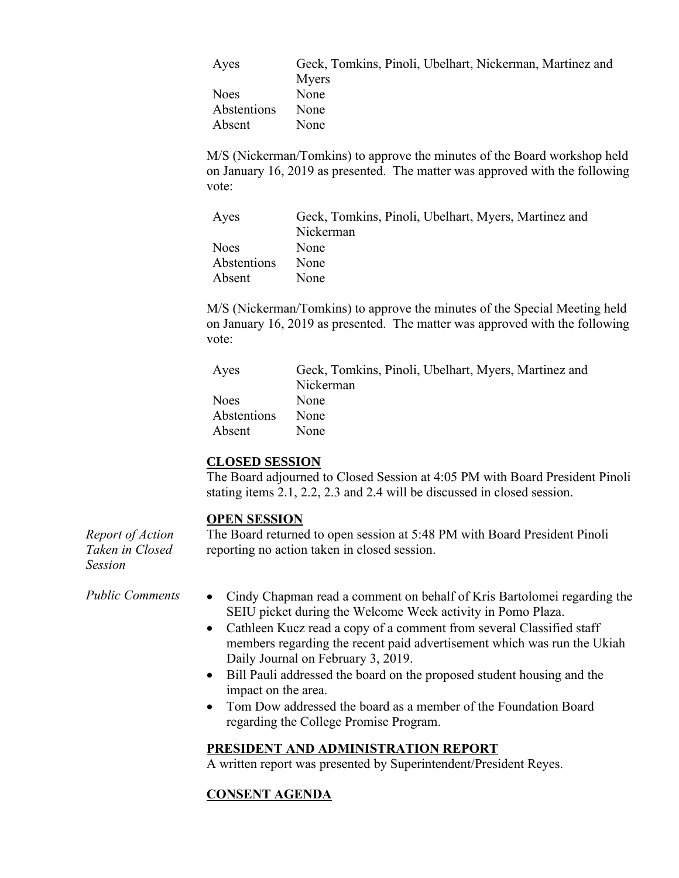| Ayes        | Geck, Tomkins, Pinoli, Ubelhart, Nickerman, Martinez and |
|-------------|----------------------------------------------------------|
|             | Myers                                                    |
| <b>Noes</b> | None                                                     |
| Abstentions | None                                                     |
| Absent      | <b>None</b>                                              |

M/S (Nickerman/Tomkins) to approve the minutes of the Board workshop held on January 16, 2019 as presented. The matter was approved with the following vote:

| Ayes        | Geck, Tomkins, Pinoli, Ubelhart, Myers, Martinez and |
|-------------|------------------------------------------------------|
|             | Nickerman                                            |
| <b>Noes</b> | None                                                 |
| Abstentions | None                                                 |
| Absent      | None                                                 |

M/S (Nickerman/Tomkins) to approve the minutes of the Special Meeting held on January 16, 2019 as presented. The matter was approved with the following vote:

| Ayes        | Geck, Tomkins, Pinoli, Ubelhart, Myers, Martinez and |
|-------------|------------------------------------------------------|
|             | Nickerman                                            |
| <b>Noes</b> | None                                                 |
| Abstentions | None                                                 |
| Absent      | None                                                 |

### **CLOSED SESSION**

The Board adjourned to Closed Session at 4:05 PM with Board President Pinoli stating items 2.1, 2.2, 2.3 and 2.4 will be discussed in closed session.

### **OPEN SESSION**

*Report of Action Taken in Closed Session* The Board returned to open session at 5:48 PM with Board President Pinoli reporting no action taken in closed session.

- 
- *Public Comments* Cindy Chapman read a comment on behalf of Kris Bartolomei regarding the SEIU picket during the Welcome Week activity in Pomo Plaza.
	- Cathleen Kucz read a copy of a comment from several Classified staff members regarding the recent paid advertisement which was run the Ukiah Daily Journal on February 3, 2019.
	- Bill Pauli addressed the board on the proposed student housing and the impact on the area.
	- Tom Dow addressed the board as a member of the Foundation Board regarding the College Promise Program.

### **PRESIDENT AND ADMINISTRATION REPORT**

A written report was presented by Superintendent/President Reyes.

## **CONSENT AGENDA**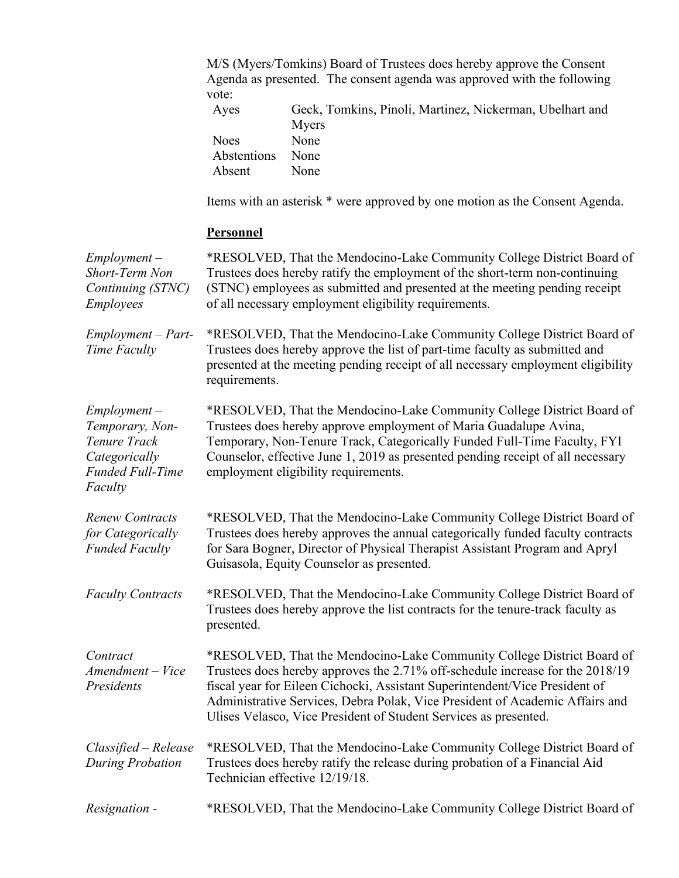M/S (Myers/Tomkins) Board of Trustees does hereby approve the Consent Agenda as presented. The consent agenda was approved with the following vote:

| Ayes             | Geck, Tomkins, Pinoli, Martinez, Nickerman, Ubelhart and |
|------------------|----------------------------------------------------------|
|                  | Myers                                                    |
| Noes.            | None                                                     |
| Abstentions None |                                                          |
| Absent           | <b>None</b>                                              |

Items with an asterisk \* were approved by one motion as the Consent Agenda.

# **Personnel**

| $Employment -$<br>Short-Term Non<br>Continuing (STNC)<br><b>Employees</b>                                | *RESOLVED, That the Mendocino-Lake Community College District Board of<br>Trustees does hereby ratify the employment of the short-term non-continuing<br>(STNC) employees as submitted and presented at the meeting pending receipt<br>of all necessary employment eligibility requirements.                                                                                               |
|----------------------------------------------------------------------------------------------------------|--------------------------------------------------------------------------------------------------------------------------------------------------------------------------------------------------------------------------------------------------------------------------------------------------------------------------------------------------------------------------------------------|
| $Employment - Part-$<br>Time Faculty                                                                     | *RESOLVED, That the Mendocino-Lake Community College District Board of<br>Trustees does hereby approve the list of part-time faculty as submitted and<br>presented at the meeting pending receipt of all necessary employment eligibility<br>requirements.                                                                                                                                 |
| $Employment -$<br>Temporary, Non-<br>Tenure Track<br>Categorically<br><b>Funded Full-Time</b><br>Faculty | *RESOLVED, That the Mendocino-Lake Community College District Board of<br>Trustees does hereby approve employment of Maria Guadalupe Avina,<br>Temporary, Non-Tenure Track, Categorically Funded Full-Time Faculty, FYI<br>Counselor, effective June 1, 2019 as presented pending receipt of all necessary<br>employment eligibility requirements.                                         |
| <b>Renew Contracts</b><br>for Categorically<br><b>Funded Faculty</b>                                     | *RESOLVED, That the Mendocino-Lake Community College District Board of<br>Trustees does hereby approves the annual categorically funded faculty contracts<br>for Sara Bogner, Director of Physical Therapist Assistant Program and Apryl<br>Guisasola, Equity Counselor as presented.                                                                                                      |
| <b>Faculty Contracts</b>                                                                                 | *RESOLVED, That the Mendocino-Lake Community College District Board of<br>Trustees does hereby approve the list contracts for the tenure-track faculty as<br>presented.                                                                                                                                                                                                                    |
| Contract<br>Amendment - Vice<br>Presidents                                                               | *RESOLVED, That the Mendocino-Lake Community College District Board of<br>Trustees does hereby approves the 2.71% off-schedule increase for the 2018/19<br>fiscal year for Eileen Cichocki, Assistant Superintendent/Vice President of<br>Administrative Services, Debra Polak, Vice President of Academic Affairs and<br>Ulises Velasco, Vice President of Student Services as presented. |
| Classified - Release<br><b>During Probation</b>                                                          | *RESOLVED, That the Mendocino-Lake Community College District Board of<br>Trustees does hereby ratify the release during probation of a Financial Aid<br>Technician effective 12/19/18.                                                                                                                                                                                                    |
| Resignation -                                                                                            | *RESOLVED, That the Mendocino-Lake Community College District Board of                                                                                                                                                                                                                                                                                                                     |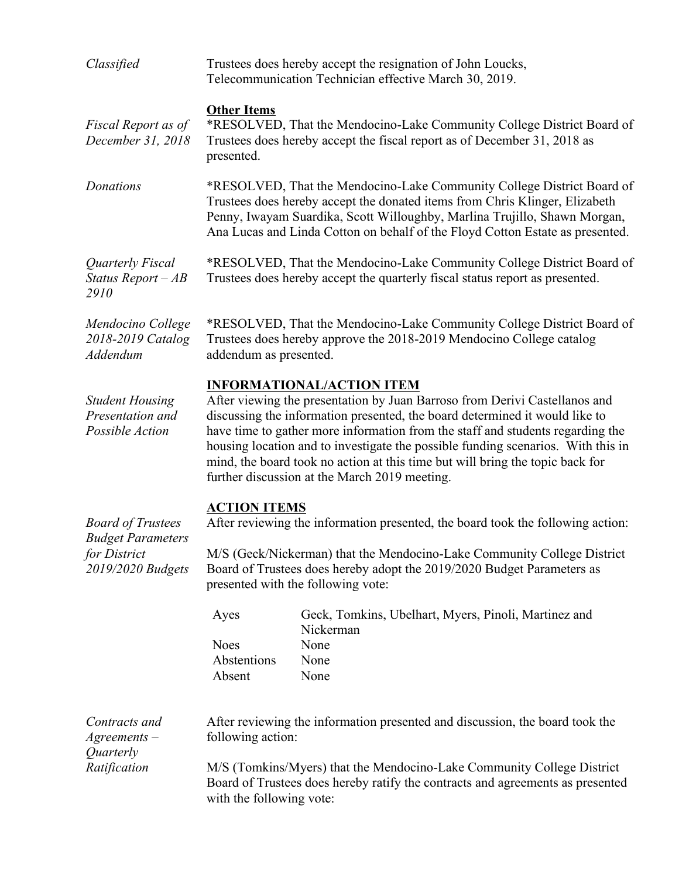| Classified                                                                                | Trustees does hereby accept the resignation of John Loucks,<br>Telecommunication Technician effective March 30, 2019.                                                                                                                                                                                                                                                                                                                                                                                 |                                                                                           |  |
|-------------------------------------------------------------------------------------------|-------------------------------------------------------------------------------------------------------------------------------------------------------------------------------------------------------------------------------------------------------------------------------------------------------------------------------------------------------------------------------------------------------------------------------------------------------------------------------------------------------|-------------------------------------------------------------------------------------------|--|
| Fiscal Report as of<br>December 31, 2018                                                  | <b>Other Items</b><br>*RESOLVED, That the Mendocino-Lake Community College District Board of<br>Trustees does hereby accept the fiscal report as of December 31, 2018 as<br>presented.                                                                                                                                                                                                                                                                                                                |                                                                                           |  |
| <b>Donations</b>                                                                          | *RESOLVED, That the Mendocino-Lake Community College District Board of<br>Trustees does hereby accept the donated items from Chris Klinger, Elizabeth<br>Penny, Iwayam Suardika, Scott Willoughby, Marlina Trujillo, Shawn Morgan,<br>Ana Lucas and Linda Cotton on behalf of the Floyd Cotton Estate as presented.                                                                                                                                                                                   |                                                                                           |  |
| Quarterly Fiscal<br>Status Report $-AB$<br>2910                                           | *RESOLVED, That the Mendocino-Lake Community College District Board of<br>Trustees does hereby accept the quarterly fiscal status report as presented.                                                                                                                                                                                                                                                                                                                                                |                                                                                           |  |
| Mendocino College<br>2018-2019 Catalog<br>Addendum                                        | *RESOLVED, That the Mendocino-Lake Community College District Board of<br>Trustees does hereby approve the 2018-2019 Mendocino College catalog<br>addendum as presented.                                                                                                                                                                                                                                                                                                                              |                                                                                           |  |
| <b>Student Housing</b><br>Presentation and<br>Possible Action                             | <b>INFORMATIONAL/ACTION ITEM</b><br>After viewing the presentation by Juan Barroso from Derivi Castellanos and<br>discussing the information presented, the board determined it would like to<br>have time to gather more information from the staff and students regarding the<br>housing location and to investigate the possible funding scenarios. With this in<br>mind, the board took no action at this time but will bring the topic back for<br>further discussion at the March 2019 meeting. |                                                                                           |  |
| <b>Board of Trustees</b><br><b>Budget Parameters</b><br>for District<br>2019/2020 Budgets | <b>ACTION ITEMS</b><br>After reviewing the information presented, the board took the following action:<br>M/S (Geck/Nickerman) that the Mendocino-Lake Community College District<br>Board of Trustees does hereby adopt the 2019/2020 Budget Parameters as<br>presented with the following vote:                                                                                                                                                                                                     |                                                                                           |  |
|                                                                                           | Ayes<br><b>Noes</b><br>Abstentions<br>Absent                                                                                                                                                                                                                                                                                                                                                                                                                                                          | Geck, Tomkins, Ubelhart, Myers, Pinoli, Martinez and<br>Nickerman<br>None<br>None<br>None |  |
| Contracts and<br>$A$ greements $-$                                                        | following action:                                                                                                                                                                                                                                                                                                                                                                                                                                                                                     | After reviewing the information presented and discussion, the board took the              |  |
| Quarterly<br>Ratification                                                                 | M/S (Tomkins/Myers) that the Mendocino-Lake Community College District<br>Board of Trustees does hereby ratify the contracts and agreements as presented<br>with the following vote:                                                                                                                                                                                                                                                                                                                  |                                                                                           |  |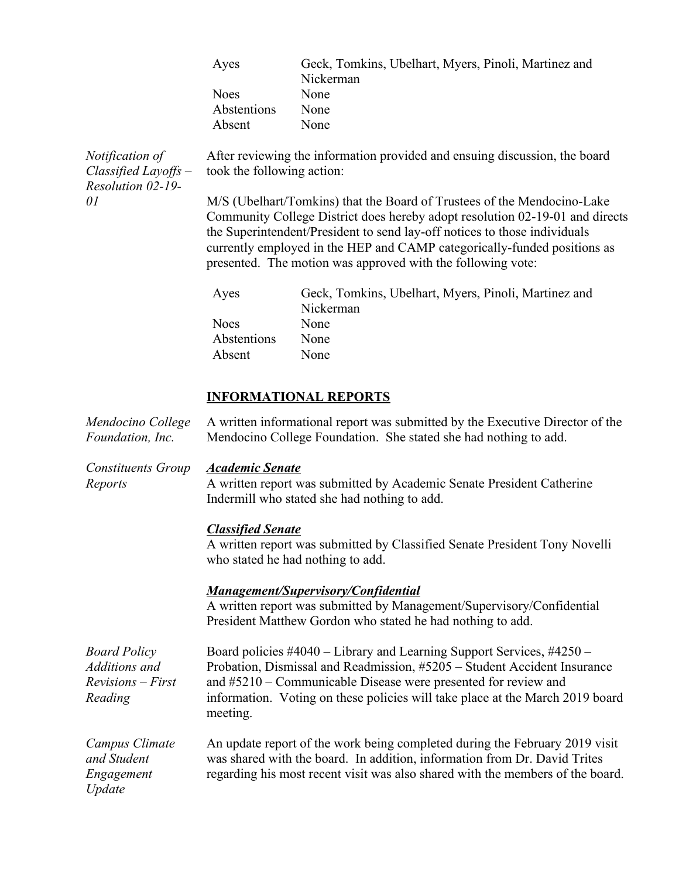|                                                                   | Ayes                                                                                                                                                                                                                                                                                                                                                                                                                                                                                        | Geck, Tomkins, Ubelhart, Myers, Pinoli, Martinez and<br>Nickerman                                                                                                                 |  |
|-------------------------------------------------------------------|---------------------------------------------------------------------------------------------------------------------------------------------------------------------------------------------------------------------------------------------------------------------------------------------------------------------------------------------------------------------------------------------------------------------------------------------------------------------------------------------|-----------------------------------------------------------------------------------------------------------------------------------------------------------------------------------|--|
|                                                                   | <b>Noes</b>                                                                                                                                                                                                                                                                                                                                                                                                                                                                                 | None                                                                                                                                                                              |  |
|                                                                   | Abstentions                                                                                                                                                                                                                                                                                                                                                                                                                                                                                 | None                                                                                                                                                                              |  |
|                                                                   | Absent                                                                                                                                                                                                                                                                                                                                                                                                                                                                                      | None                                                                                                                                                                              |  |
| Notification of<br>$Classified \, Layoffs$ –<br>Resolution 02-19- | After reviewing the information provided and ensuing discussion, the board<br>took the following action:<br>M/S (Ubelhart/Tomkins) that the Board of Trustees of the Mendocino-Lake<br>Community College District does hereby adopt resolution 02-19-01 and directs<br>the Superintendent/President to send lay-off notices to those individuals<br>currently employed in the HEP and CAMP categorically-funded positions as<br>presented. The motion was approved with the following vote: |                                                                                                                                                                                   |  |
| 01                                                                |                                                                                                                                                                                                                                                                                                                                                                                                                                                                                             |                                                                                                                                                                                   |  |
|                                                                   | Ayes                                                                                                                                                                                                                                                                                                                                                                                                                                                                                        | Geck, Tomkins, Ubelhart, Myers, Pinoli, Martinez and<br>Nickerman                                                                                                                 |  |
|                                                                   | <b>Noes</b>                                                                                                                                                                                                                                                                                                                                                                                                                                                                                 | None                                                                                                                                                                              |  |
|                                                                   | Abstentions                                                                                                                                                                                                                                                                                                                                                                                                                                                                                 | None                                                                                                                                                                              |  |
|                                                                   | Absent                                                                                                                                                                                                                                                                                                                                                                                                                                                                                      | None                                                                                                                                                                              |  |
| Mendocino College<br>Foundation, Inc.                             |                                                                                                                                                                                                                                                                                                                                                                                                                                                                                             | <b>INFORMATIONAL REPORTS</b><br>A written informational report was submitted by the Executive Director of the<br>Mendocino College Foundation. She stated she had nothing to add. |  |
|                                                                   |                                                                                                                                                                                                                                                                                                                                                                                                                                                                                             |                                                                                                                                                                                   |  |
| <b>Constituents Group</b><br>Reports                              | <b>Academic Senate</b>                                                                                                                                                                                                                                                                                                                                                                                                                                                                      | A written report was submitted by Academic Senate President Catherine<br>Indermill who stated she had nothing to add.                                                             |  |
|                                                                   | <b>Classified Senate</b><br>A written report was submitted by Classified Senate President Tony Novelli<br>who stated he had nothing to add.                                                                                                                                                                                                                                                                                                                                                 |                                                                                                                                                                                   |  |
|                                                                   | <b>Management/Supervisory/Confidential</b><br>A written report was submitted by Management/Supervisory/Confidential<br>President Matthew Gordon who stated he had nothing to add.                                                                                                                                                                                                                                                                                                           |                                                                                                                                                                                   |  |
| <b>Board Policy</b><br>Additions and<br>$Revisions - First$       | Board policies #4040 – Library and Learning Support Services, #4250 –<br>Probation, Dismissal and Readmission, #5205 - Student Accident Insurance<br>and #5210 – Communicable Disease were presented for review and                                                                                                                                                                                                                                                                         |                                                                                                                                                                                   |  |

and #5210 – Communicable Disease were presented for review and

information. Voting on these policies will take place at the March 2019 board

An update report of the work being completed during the February 2019 visit was shared with the board. In addition, information from Dr. David Trites regarding his most recent visit was also shared with the members of the board.

*Reading*

*Campus Climate and Student Engagement Update*

meeting.